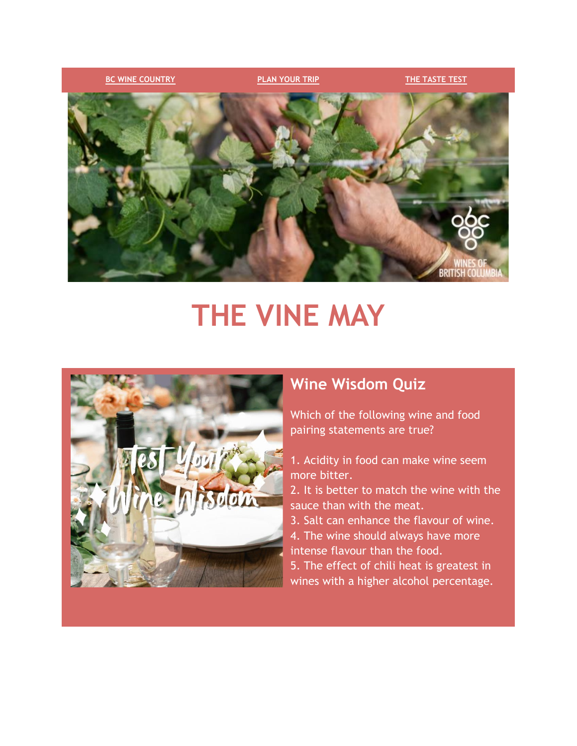

# **THE VINE MAY**



# **Wine Wisdom Quiz**

Which of the following wine and food pairing statements are true?

- 1. Acidity in food can make wine seem more bitter.
- 2. It is better to match the wine with the sauce than with the meat.
- 3. Salt can enhance the flavour of wine.
- 4. The wine should always have more intense flavour than the food.
- 5. The effect of chili heat is greatest in wines with a higher alcohol percentage.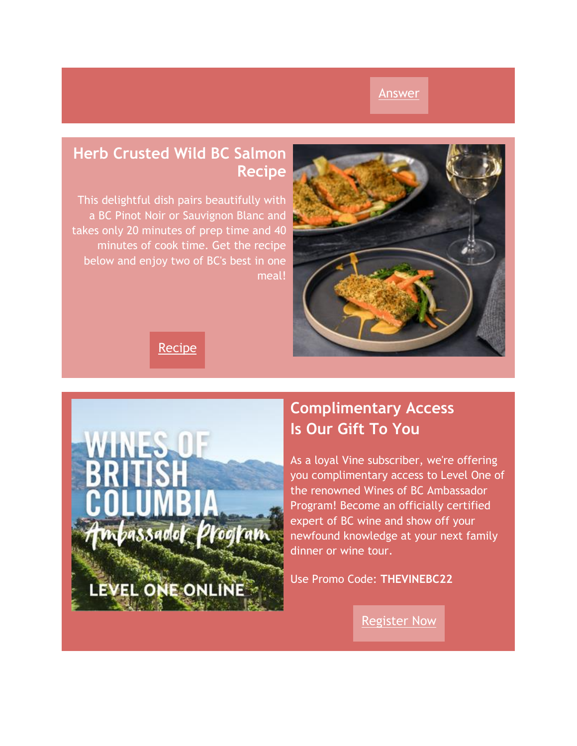#### [Answer](https://click.winesofbc.winebc.com/?qs=df4bee05a1706e015a11b281185aa39f5b121e791a4c39d5dd087480c062e94a3cf1544722ebcde687d549ee621ab1eb7277e4b12aec7460)

# **Herb Crusted Wild BC Salmon Recipe**

This delightful dish pairs beautifully with a BC Pinot Noir or Sauvignon Blanc and takes only 20 minutes of prep time and 40 minutes of cook time. Get the recipe below and enjoy two of BC's best in one meal!



**[Recipe](https://click.winesofbc.winebc.com/?qs=df4bee05a1706e01f8d46e054083d02d94b812030b7496b7d3dc254b7c86e9e93790b28334fadca8a0c619dc8af99a0fac6781f26e1da31c)** 



# **Complimentary Access Is Our Gift To You**

As a loyal Vine subscriber, we're offering you complimentary access to Level One of the renowned Wines of BC Ambassador Program! Become an officially certified expert of BC wine and show off your newfound knowledge at your next family dinner or wine tour.

Use Promo Code: **THEVINEBC22**

[Register Now](https://click.winesofbc.winebc.com/?qs=df4bee05a1706e0157ebfb86c81a257f95d2647fdaa428f71854426cd31d77e956a374b2282595e42e6dda3657efa23753efdbae9849e0f4)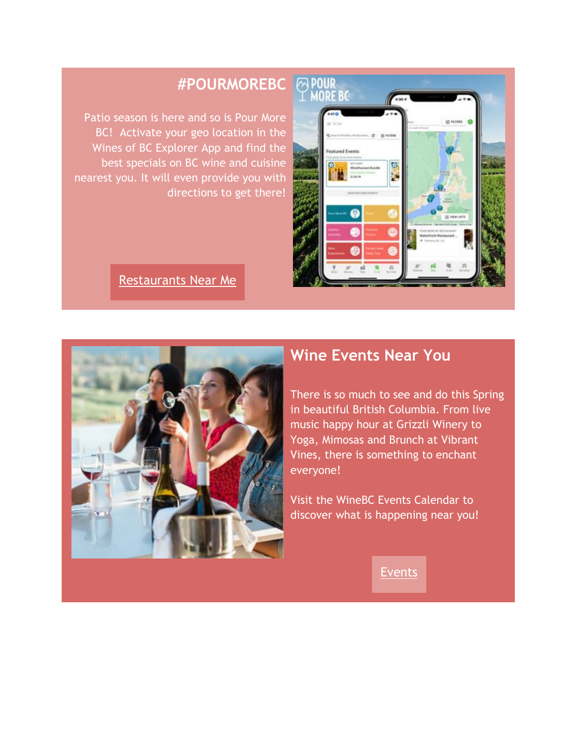

# **#POURMOREBC** POUR<br> **EXAMPLE**

Patio season is here and so is Pour More BC! Activate your geo location in the Wines of BC Explorer App and find the best specials on BC wine and cuisine nearest you. It will even provide you with directions to get there!

#### Restaurants Near Me



### **Wine Events Near You**

There is so much to see and do this Spring in beautiful British Columbia. From live music happy hour at Grizzli Winery to Yoga, Mimosas and Brunch at Vibrant Vines, there is something to enchant everyone!

Visit the WineBC Events Calendar to discover what is happening near you!